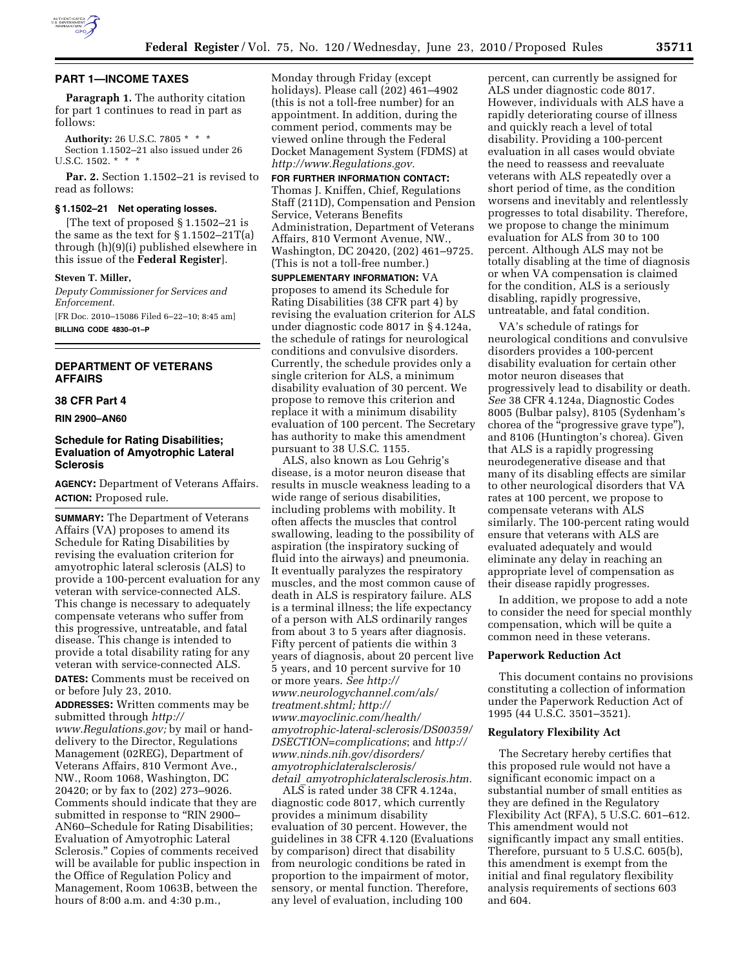

# **PART 1—INCOME TAXES**

**Paragraph 1.** The authority citation for part 1 continues to read in part as follows:

**Authority:** 26 U.S.C. 7805 \* \* \* Section 1.1502–21 also issued under 26 U.S.C. 1502. \* \* \*

**Par. 2.** Section 1.1502–21 is revised to read as follows:

### **§ 1.1502–21 Net operating losses.**

[The text of proposed § 1.1502–21 is the same as the text for  $\S 1.1502 - 21T(a)$ through (h)(9)(i) published elsewhere in this issue of the **Federal Register**].

#### **Steven T. Miller,**

*Deputy Commissioner for Services and Enforcement.* 

[FR Doc. 2010–15086 Filed 6–22–10; 8:45 am] **BILLING CODE 4830–01–P** 

**DEPARTMENT OF VETERANS AFFAIRS** 

#### **38 CFR Part 4**

**RIN 2900–AN60** 

# **Schedule for Rating Disabilities; Evaluation of Amyotrophic Lateral Sclerosis**

**AGENCY:** Department of Veterans Affairs. **ACTION:** Proposed rule.

**SUMMARY:** The Department of Veterans Affairs (VA) proposes to amend its Schedule for Rating Disabilities by revising the evaluation criterion for amyotrophic lateral sclerosis (ALS) to provide a 100-percent evaluation for any veteran with service-connected ALS. This change is necessary to adequately compensate veterans who suffer from this progressive, untreatable, and fatal disease. This change is intended to provide a total disability rating for any veteran with service-connected ALS. **DATES:** Comments must be received on

or before July 23, 2010. **ADDRESSES:** Written comments may be

submitted through *http:// www.Regulations.gov;* by mail or handdelivery to the Director, Regulations Management (02REG), Department of Veterans Affairs, 810 Vermont Ave., NW., Room 1068, Washington, DC 20420; or by fax to (202) 273–9026. Comments should indicate that they are submitted in response to "RIN 2900-AN60–Schedule for Rating Disabilities; Evaluation of Amyotrophic Lateral Sclerosis.'' Copies of comments received will be available for public inspection in the Office of Regulation Policy and Management, Room 1063B, between the hours of 8:00 a.m. and 4:30 p.m.,

Monday through Friday (except holidays). Please call (202) 461–4902 (this is not a toll-free number) for an appointment. In addition, during the comment period, comments may be viewed online through the Federal Docket Management System (FDMS) at *http://www.Regulations.gov.* 

**FOR FURTHER INFORMATION CONTACT:**  Thomas J. Kniffen, Chief, Regulations Staff (211D), Compensation and Pension Service, Veterans Benefits Administration, Department of Veterans Affairs, 810 Vermont Avenue, NW., Washington, DC 20420, (202) 461–9725. (This is not a toll-free number.)

**SUPPLEMENTARY INFORMATION:** VA proposes to amend its Schedule for Rating Disabilities (38 CFR part 4) by revising the evaluation criterion for ALS under diagnostic code 8017 in § 4.124a, the schedule of ratings for neurological conditions and convulsive disorders. Currently, the schedule provides only a single criterion for ALS, a minimum disability evaluation of 30 percent. We propose to remove this criterion and replace it with a minimum disability evaluation of 100 percent. The Secretary has authority to make this amendment pursuant to 38 U.S.C. 1155.

ALS, also known as Lou Gehrig's disease, is a motor neuron disease that results in muscle weakness leading to a wide range of serious disabilities, including problems with mobility. It often affects the muscles that control swallowing, leading to the possibility of aspiration (the inspiratory sucking of fluid into the airways) and pneumonia. It eventually paralyzes the respiratory muscles, and the most common cause of death in ALS is respiratory failure. ALS is a terminal illness; the life expectancy of a person with ALS ordinarily ranges from about 3 to 5 years after diagnosis. Fifty percent of patients die within 3 years of diagnosis, about 20 percent live 5 years, and 10 percent survive for 10 or more years. *See http:// www.neurologychannel.com/als/ treatment.shtml; http:// www.mayoclinic.com/health/ amyotrophic-lateral-sclerosis/DS00359/ DSECTION=complications*; and *http:// www.ninds.nih.gov/disorders/ amyotrophiclateralsclerosis/ detail*\_*amyotrophiclateralsclerosis.htm.* 

ALS is rated under 38 CFR 4.124a, diagnostic code 8017, which currently provides a minimum disability evaluation of 30 percent. However, the guidelines in 38 CFR 4.120 (Evaluations by comparison) direct that disability from neurologic conditions be rated in proportion to the impairment of motor, sensory, or mental function. Therefore, any level of evaluation, including 100

percent, can currently be assigned for ALS under diagnostic code 8017. However, individuals with ALS have a rapidly deteriorating course of illness and quickly reach a level of total disability. Providing a 100-percent evaluation in all cases would obviate the need to reassess and reevaluate veterans with ALS repeatedly over a short period of time, as the condition worsens and inevitably and relentlessly progresses to total disability. Therefore, we propose to change the minimum evaluation for ALS from 30 to 100 percent. Although ALS may not be totally disabling at the time of diagnosis or when VA compensation is claimed for the condition, ALS is a seriously disabling, rapidly progressive, untreatable, and fatal condition.

VA's schedule of ratings for neurological conditions and convulsive disorders provides a 100-percent disability evaluation for certain other motor neuron diseases that progressively lead to disability or death. *See* 38 CFR 4.124a, Diagnostic Codes 8005 (Bulbar palsy), 8105 (Sydenham's chorea of the ''progressive grave type''), and 8106 (Huntington's chorea). Given that ALS is a rapidly progressing neurodegenerative disease and that many of its disabling effects are similar to other neurological disorders that VA rates at 100 percent, we propose to compensate veterans with ALS similarly. The 100-percent rating would ensure that veterans with ALS are evaluated adequately and would eliminate any delay in reaching an appropriate level of compensation as their disease rapidly progresses.

In addition, we propose to add a note to consider the need for special monthly compensation, which will be quite a common need in these veterans.

### **Paperwork Reduction Act**

This document contains no provisions constituting a collection of information under the Paperwork Reduction Act of 1995 (44 U.S.C. 3501–3521).

#### **Regulatory Flexibility Act**

The Secretary hereby certifies that this proposed rule would not have a significant economic impact on a substantial number of small entities as they are defined in the Regulatory Flexibility Act (RFA), 5 U.S.C. 601–612. This amendment would not significantly impact any small entities. Therefore, pursuant to 5 U.S.C. 605(b), this amendment is exempt from the initial and final regulatory flexibility analysis requirements of sections 603 and 604.